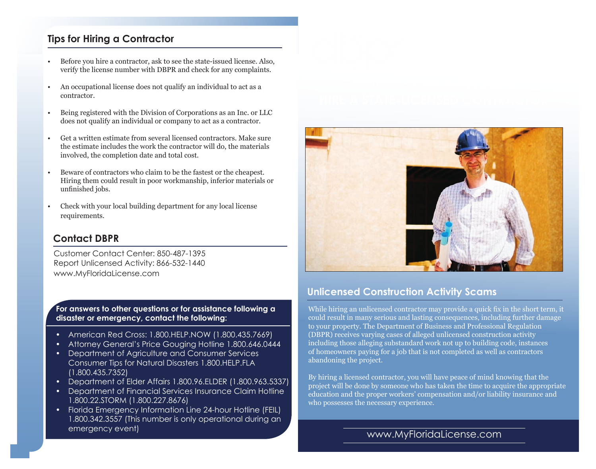## **Tips for Hiring a Contractor**

- Before you hire a contractor, ask to see the state-issued license. Also, verify the license number with DBPR and check for any complaints.
- An occupational license does not qualify an individual to act as a contractor.
- Being registered with the Division of Corporations as an Inc. or LLC does not qualify an individual or company to act as a contractor.
- Get a written estimate from several licensed contractors. Make sure the estimate includes the work the contractor will do, the materials involved, the completion date and total cost.
- Beware of contractors who claim to be the fastest or the cheapest. Hiring them could result in poor workmanship, inferior materials or unfinished jobs.
- Check with your local building department for any local license requirements.

### **Contact DBPR**

Customer Contact Center: 850-487-1395 Report Unlicensed Activity: 866-532-1440 www.MyFloridaLicense.com

**For answers to other questions or for assistance following a disaster or emergency, contact the following:** 

- American Red Cross: 1.800.HELP.NOW (1.800.435.7669)
- Attorney General's Price Gouging Hotline 1.800.646.0444
- Department of Agriculture and Consumer Services Consumer Tips for Natural Disasters 1.800.HELP.FLA (1.800.435.7352)
- Department of Elder Affairs 1.800.96.ELDER (1.800.963.5337)
- Department of Financial Services Insurance Claim Hotline 1.800.22.STORM (1.800.227.8676)
- Florida Emergency Information Line 24-hour Hotline (FEIL) 1.800.342.3557 (This number is only operational during an emergency event)



### **Unlicensed Construction Activity Scams**

While hiring an unlicensed contractor may provide a quick fix in the short term, it could result in many serious and lasting consequences, including further damage to your property. The Department of Business and Professional Regulation (DBPR) receives varying cases of alleged unlicensed construction activity including those alleging substandard work not up to building code, instances of homeowners paying for a job that is not completed as well as contractors abandoning the project.

By hiring a licensed contractor, you will have peace of mind knowing that the project will be done by someone who has taken the time to acquire the appropriate education and the proper workers' compensation and/or liability insurance and who possesses the necessary experience.

### www.MyFloridaLicense.com